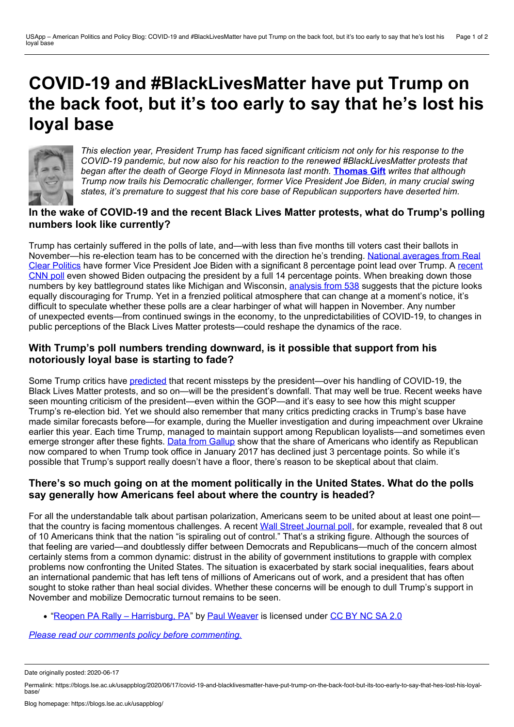# **COVID-19 and #BlackLivesMatter have put Trump on the back foot, but it's too early to say that he's lost his loyal base**



*This election year, President Trump has faced significant criticism not only for his response to the COVID-19 pandemic, but now also for his reaction to the renewed #BlackLivesMatter protests that began after the death of George Floyd in Minnesota last month.* **[Thomas](https://wp.me/p3I2YF-a2D#Author) Gift** *writes that although Trump now trails his Democratic challenger, former Vice President Joe Biden, in many crucial swing states, it's premature to suggest that his core base of Republican supporters have deserted him.*

## **In the wake of COVID-19 and the recent Black Lives Matter protests, what do Trump's polling numbers look like currently?**

Trump has certainly suffered in the polls of late, and—with less than five months till voters cast their ballots in [November—his](https://www.realclearpolitics.com/epolls/2020/president/us/general_election_trump_vs_biden-6247.html) re-election team has to be concerned with the direction he's trending. National averages from Real Clear Politics have former Vice President Joe Biden with a significant 8 [percentage](https://edition.cnn.com/2020/06/08/politics/cnn-poll-trump-biden-chaotic-week/index.html) point lead over Trump. A recent CNN poll even showed Biden outpacing the president by a full 14 percentage points. When breaking down those numbers by key battleground states like Michigan and Wisconsin, [analysis](https://fivethirtyeight.com/features/the-latest-swing-state-polls-look-good-for-biden/) from 538 suggests that the picture looks equally discouraging for Trump. Yet in a frenzied political atmosphere that can change at a moment's notice, it's difficult to speculate whether these polls are a clear harbinger of what will happen in November. Any number of unexpected events—from continued swings in the economy, to the unpredictabilities of COVID-19, to changes in public perceptions of the Black Lives Matter protests—could reshape the dynamics of the race.

### **With Trump's poll numbers trending downward, is it possible that support from his notoriously loyal base is starting to fade?**

Some Trump critics have [predicted](https://www.brookings.edu/blog/fixgov/2020/06/09/presidential-job-approval-trumps-re-election-prospects-look-bleak/) that recent missteps by the president—over his handling of COVID-19, the Black Lives Matter protests, and so on—will be the president's downfall. That may well be true. Recent weeks have seen mounting criticism of the president—even within the GOP—and it's easy to see how this might scupper Trump's re-election bid. Yet we should also remember that many critics predicting cracks in Trump's base have made similar forecasts before—for example, during the Mueller investigation and during impeachment over Ukraine earlier this year. Each time Trump, managed to maintain support among Republican loyalists—and sometimes even emerge stronger after these fights. Data from [Gallup](https://news.gallup.com/poll/15370/party-affiliation.aspx) show that the share of Americans who identify as Republican now compared to when Trump took office in January 2017 has declined just 3 percentage points. So while it's possible that Trump's support really doesn't have a floor, there's reason to be skeptical about that claim.

### **There's so much going on at the moment politically in the United States. What do the polls say generally how Americans feel about where the country is headed?**

For all the understandable talk about partisan polarization, Americans seem to be united about at least one point— that the country is facing momentous challenges. A recent Wall Street [Journal](https://www.wsj.com/articles/americans-are-more-troubled-by-police-actions-in-killing-of-george-floyd-than-by-violence-at-protests-poll-finds-11591534801) poll, for example, revealed that 8 out of 10 Americans think that the nation "is spiraling out of control." That's a striking figure. Although the sources of that feeling are varied—and doubtlessly differ between Democrats and Republicans—much of the concern almost certainly stems from a common dynamic: distrust in the ability of government institutions to grapple with complex problems now confronting the United States. The situation is exacerbated by stark social inequalities, fears about an international pandemic that has left tens of millions of Americans out of work, and a president that has often sought to stoke rather than heal social divides. Whether these concerns will be enough to dull Trump's support in November and mobilize Democratic turnout remains to be seen.

• "Reopen PA Rally – [Harrisburg,](https://www.flickr.com/photos/weaverphoto/49800285992/) PA" by Paul [Weaver](https://www.flickr.com/photos/weaverphoto/) is licensed under [CC](https://creativecommons.org/licenses/by-nc-sa/2.0/) BY NC SA 2.0

*Please read our comments policy before [commenting.](http://blogs.lse.ac.uk/usappblog/comments-policy/)*

Permalink: https://blogs.lse.ac.uk/usappblog/2020/06/17/covid-19-and-blacklivesmatter-have-put-trump-on-the-back-foot-but-its-too-early-to-say-that-hes-lost-his-loyal-<br>hase/

Date originally posted: 2020-06-17